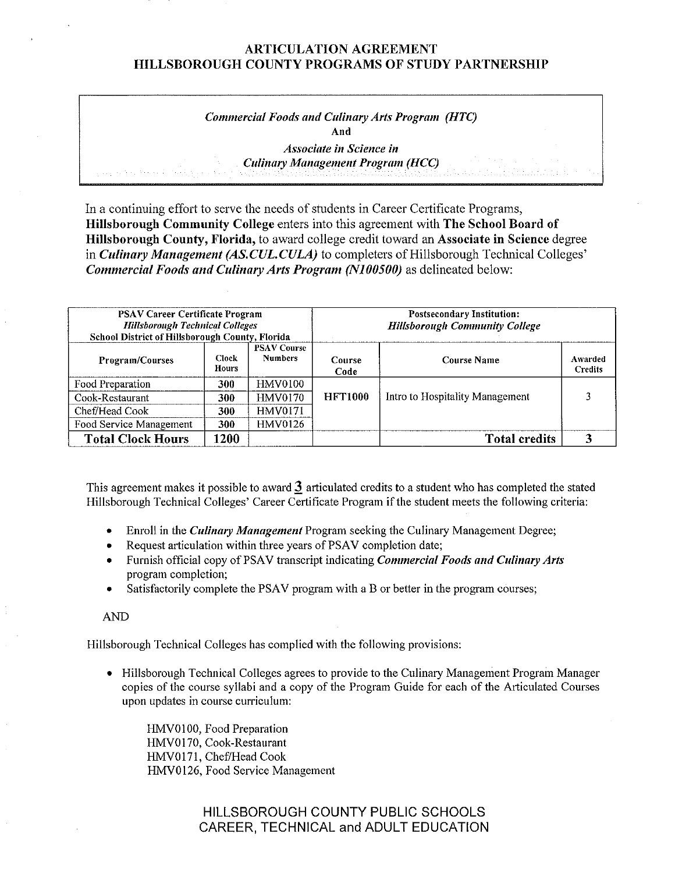# *Commercial Foods and Culinary Arts Program (HTC)*  **And**

*Associate in Science in Culinary Management Program (HCC)* 

In a continuing effort to serve the needs of students in Career Certificate Programs, **Hillsborough Community College** enters into this agreement with **The School Board of Hillsborough County, Florida,** to award college credit toward an **Associate in Science** degree in *Culinary Management (AS.CUL.CULA)* to completers of Hillsborough Technical Colleges' *Commercial Foods and Culinary Arts Program (N100500)* **as delineated below:** 

| <b>PSAV Career Certificate Program</b><br><b>Hillsborough Technical Colleges</b><br>School District of Hillsborough County, Florida |                              |                                      | <b>Postsecondary Institution:</b><br><b>Hillsborough Community College</b> |                                 |                    |  |
|-------------------------------------------------------------------------------------------------------------------------------------|------------------------------|--------------------------------------|----------------------------------------------------------------------------|---------------------------------|--------------------|--|
| <b>Program/Courses</b>                                                                                                              | <b>Clock</b><br><b>Hours</b> | <b>PSAV Course</b><br><b>Numbers</b> | Course<br>Code                                                             | <b>Course Name</b>              | Awarded<br>Credits |  |
| Food Preparation                                                                                                                    | 300                          | <b>HMV0100</b>                       |                                                                            |                                 |                    |  |
| Cook-Restaurant                                                                                                                     | 300                          | HMV0170                              | <b>HFT1000</b>                                                             | Intro to Hospitality Management |                    |  |
| Chef/Head Cook                                                                                                                      | 300                          | <b>HMV0171</b>                       |                                                                            |                                 |                    |  |
| Food Service Management                                                                                                             | 300                          | HMV0126                              |                                                                            |                                 |                    |  |
| <b>Total Clock Hours</b>                                                                                                            | 1200                         |                                      |                                                                            | <b>Total credits</b>            |                    |  |

This agreement makes it possible to award **J.** articulated credits to a student who has completed the stated Hillsborough Technical Colleges' Career Certificate Program if the student meets the following criteria:

- Enroll in the *Culinary Management* Program seeking the Culinary Management Degree;
- Request articulation within three years of PSAV completion date;
- Furnish official copy of PSA V transcript indicating *Commercial Foods and Culinary Arts*  program completion;
- Satisfactorily complete the PSAV program with a B or better in the program courses;

AND

Hillsborough Technical Colleges has complied with the following provisions:

• Hillsborough Technical Colleges agrees to provide to the Culinary Management Program Manager copies of the course syllabi and a copy of the Program Guide for each of the Articulated Courses upon updates in course curriculum:

HMV0100, Food Preparation HMVOl 70, Cook-Restaurant HMV0171, Chef/Head Cook HMV0126, Food Service Management

> HILLSBOROUGH COUNTY PUBLIC SCHOOLS CAREER, TECHNICAL and ADULT EDUCATION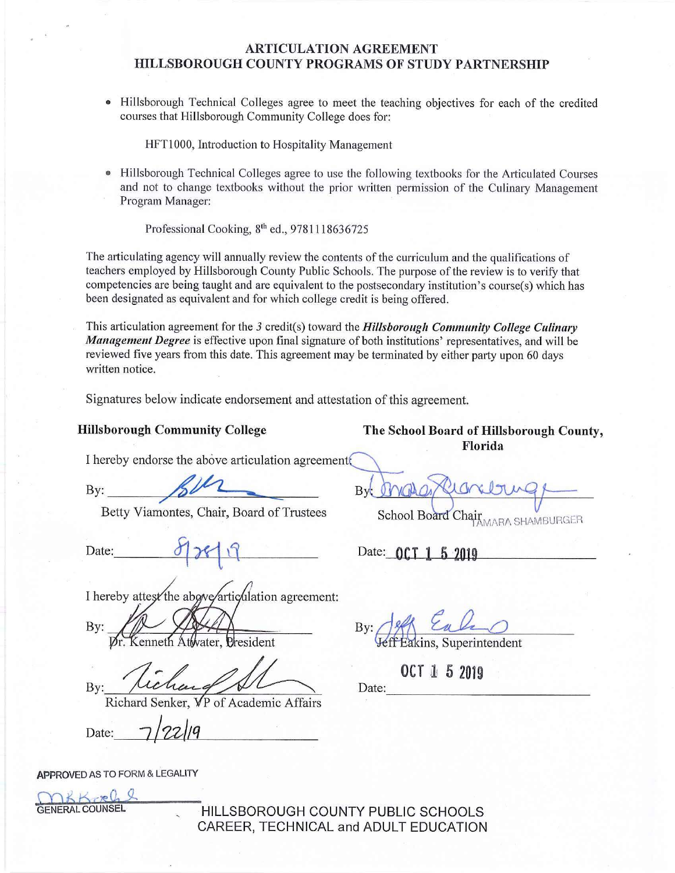• Hillsborough Technical Colleges agree to meet the teaching objectives for each of the credited courses that Hillsborough Community College does for:

HFTl000, Introduction to Hospitality Management

Hillsborough Technical Colleges agree to use the following textbooks for the Articulated Courses and not to change textbooks without the prior written permission of the Culinary Management Program Manager:

Professional Cooking, 8<sup>th</sup> ed., 9781118636725

The articulating agency will annually review the contents of the curriculum and the qualifications of teachers employed by Hillsborough County Public Schools. The purpose of the review is to verify that competencies are being taught and are equivalent to the postsecondary institution's course(s) which has been designated as equivalent and for which college credit is being offered.

This articulation agreement for the 3 credit(s) toward the *Hillsborough Community College Culinary Management Degree* is effective upon final signature of both institutions' representatives, and will be reviewed five years from this date. This agreement may be terminated by either party upon 60 days written notice.

Signatures below indicate endorsement and attestation of this agreement.

**Hillsborough Community College The School Board of Hillsborough County, Florida** 

MARA SHAMBURGER

I hereby endorse the above articulation agreement

By: BUL

Betty Viamontes, Chair, Board of Trustees

Date:  $\begin{picture}(100,100) \put(0,0){\vector(130,100)} \put(15,0){\vector(130,100)} \put(15,0){\vector(130,100)} \put(15,0){\vector(130,100)} \put(15,0){\vector(130,100)} \put(15,0){\vector(130,100)} \put(15,0){\vector(130,100)} \put(15,0){\vector(130,100)} \put(15,0){\vector(130,100)} \put(15,0){\vector(130,100)} \put(15,0){\vector(13$ 

ation agreement:<br>By:  $\frac{\partial \mathscr{L}}{\partial t}$   $\frac{\partial \mathscr{L}}{\partial t}$ 

By: Mexican By: 1998<br>By: 1998; Extended Athyater, Dresident<br>By: 1998; Cachard Senker, VP of Academic Affairs<br>Richard Senker, VP of Academic Affairs

 $\frac{V}{Richard Senker, VP of Academic Affairs}$ <br>Date:  $\frac{7}{22/9}$ 

rater, President • veff Eakins, Superintendent

**OCT 1 5 2019** 

By:

**APPROVED** AS TO FORM & LEGALITY

W TO K K 200 M THE TS AND THE TS CHOOLS GENERAL COUNSEL CAREER, TECHNICAL and ADULT EDUCATION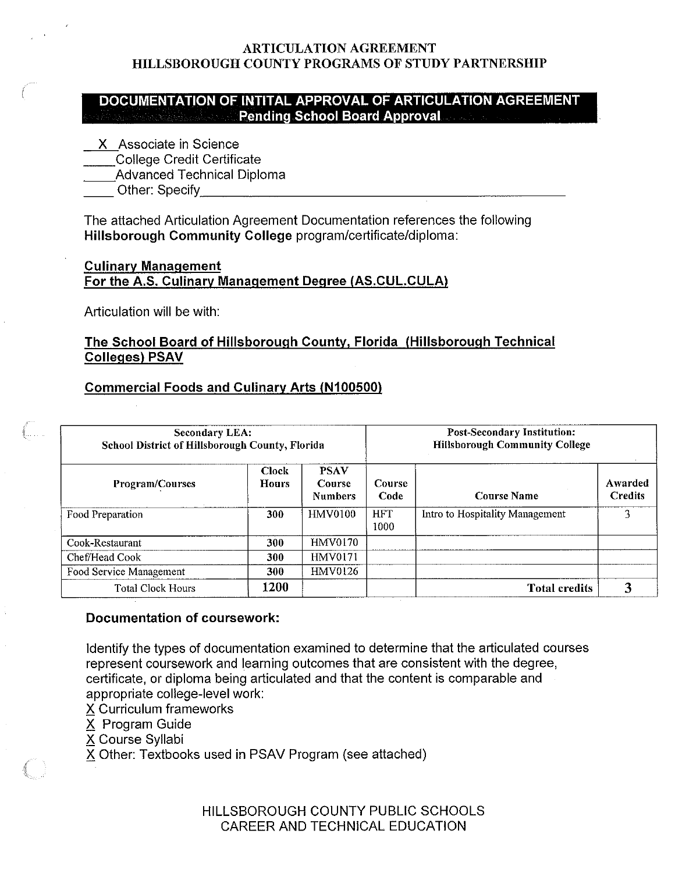## **DOCUMENTATION OF INTITAL APPROVAL OF ARTICULATION AGREEMENT Pending School Board Approval**

- **X** Associate in Science
- \_\_College Credit Certificate
- \_\_Advanced Technical Diploma
- Other: Specify **Example 20**

The attached Articulation Agreement Documentation references the following **Hillsborough Community College** program/certificate/diploma:

## **Culinary Management For the A.S. Culinary Management Degree {AS.CUL.CULA)**

Articulation will be with:

## **The School Board of Hillsborough County, Florida {Hillsborough Technical Colleges) PSAV**

## **Commercial Foods and Culinary Arts (N100500)**

| <b>Secondary LEA:</b><br>School District of Hillsborough County, Florida |                              |                                         |                       | <b>Post-Secondary Institution:</b><br><b>Hillsborough Community College</b> |                           |  |  |
|--------------------------------------------------------------------------|------------------------------|-----------------------------------------|-----------------------|-----------------------------------------------------------------------------|---------------------------|--|--|
| Program/Courses                                                          | <b>Clock</b><br><b>Hours</b> | <b>PSAV</b><br>Course<br><b>Numbers</b> | <b>Course</b><br>Code | <b>Course Name</b>                                                          | Awarded<br><b>Credits</b> |  |  |
| Food Preparation                                                         | 300                          | <b>HMV0100</b>                          | <b>HFT</b><br>1000    | Intro to Hospitality Management                                             | 3                         |  |  |
| Cook-Restaurant                                                          | 300                          | <b>HMV0170</b>                          |                       |                                                                             |                           |  |  |
| Chef/Head Cook                                                           | 300                          | <b>HMV0171</b>                          |                       |                                                                             |                           |  |  |
| Food Service Management                                                  | 300                          | HMV0126                                 |                       |                                                                             |                           |  |  |
| <b>Total Clock Hours</b>                                                 | 1200                         |                                         |                       | <b>Total credits</b>                                                        |                           |  |  |

#### **Documentation of coursework:**

Identify the types of documentation examined to determine that the articulated courses represent coursework and learning outcomes that are consistent with the degree, certificate, or diploma being articulated and that the content is comparable and appropriate college-level work:

X Curriculum frameworks

X Program Guide

X Course Syllabi

X Other: Textbooks used in PSAV Program (see attached)

HILLSBOROUGH COUNTY PUBLIC SCHOOLS CAREER AND TECHNICAL EDUCATION